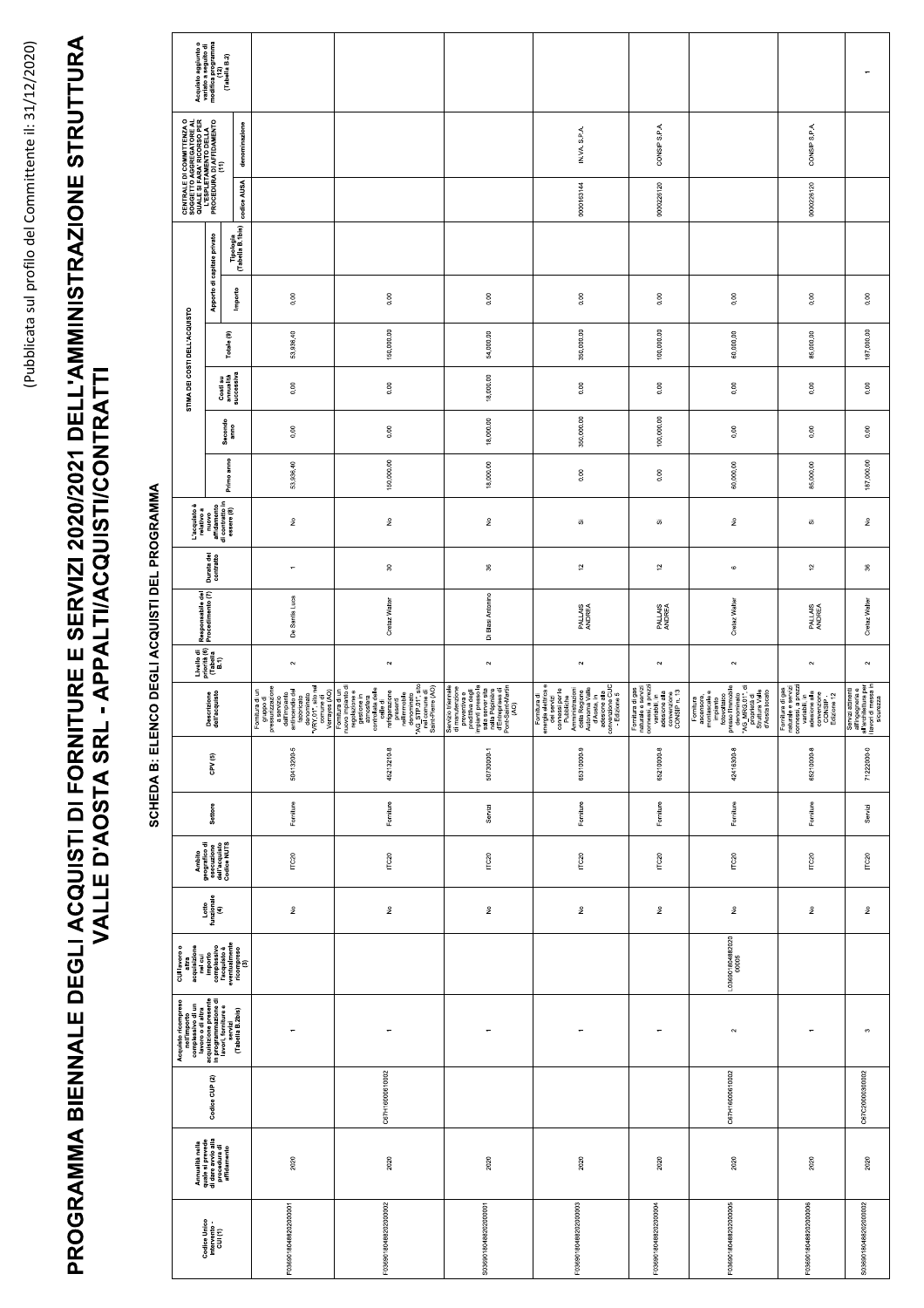## PROGRAMMA BIENNALE DEGLI ACQUISTI DI FORNITURE E SERVIZI 2020/2021 DELL'AMMINISTRAZIONE STRUTTURA<br>VALLE D'AOSTA SRL - APPALTI/ACQUISTI/CONTRATTI

SCHEDA B: ELENCO DEGLI ACQUISTI DEL PROGRAMMA

|                                                                                                                                                                                                                                                                                                                                  |                                                                                                                                                                                                                                | Acquisto aggiunto o<br>variato a seguito di<br>modifica programma<br>(12)<br>(Tabella B.2)                                                                          |                               |                                                                                                                                                                                                                                                                                                                                                                                                                                                                                                                                              |                                                                                                                                                                                                                                                                |                                                                                                                                                                                                     |                                                                                                                                                                                                                                               |                                                                                                                                  |                                                                                                                                                                                   |                                                                                                                                            |                                                                                                    |
|----------------------------------------------------------------------------------------------------------------------------------------------------------------------------------------------------------------------------------------------------------------------------------------------------------------------------------|--------------------------------------------------------------------------------------------------------------------------------------------------------------------------------------------------------------------------------|---------------------------------------------------------------------------------------------------------------------------------------------------------------------|-------------------------------|----------------------------------------------------------------------------------------------------------------------------------------------------------------------------------------------------------------------------------------------------------------------------------------------------------------------------------------------------------------------------------------------------------------------------------------------------------------------------------------------------------------------------------------------|----------------------------------------------------------------------------------------------------------------------------------------------------------------------------------------------------------------------------------------------------------------|-----------------------------------------------------------------------------------------------------------------------------------------------------------------------------------------------------|-----------------------------------------------------------------------------------------------------------------------------------------------------------------------------------------------------------------------------------------------|----------------------------------------------------------------------------------------------------------------------------------|-----------------------------------------------------------------------------------------------------------------------------------------------------------------------------------|--------------------------------------------------------------------------------------------------------------------------------------------|----------------------------------------------------------------------------------------------------|
|                                                                                                                                                                                                                                                                                                                                  |                                                                                                                                                                                                                                | <b>CENTRALE DI COMMITTENZA O</b><br>QUGEE SI FARAY RECORTODE AL<br>QUES DI FARAY RECORTODE LA<br>L'ESPLETAMENTO DELLA<br>PROCEDURA (DI AFFIDAMENTO<br>denominazione |                               |                                                                                                                                                                                                                                                                                                                                                                                                                                                                                                                                              |                                                                                                                                                                                                                                                                |                                                                                                                                                                                                     | IN.VA. S.P.A                                                                                                                                                                                                                                  | CONSIP S.P.A                                                                                                                     |                                                                                                                                                                                   | CONSIP S.P.A                                                                                                                               |                                                                                                    |
|                                                                                                                                                                                                                                                                                                                                  |                                                                                                                                                                                                                                | codice AUSA                                                                                                                                                         |                               |                                                                                                                                                                                                                                                                                                                                                                                                                                                                                                                                              |                                                                                                                                                                                                                                                                |                                                                                                                                                                                                     | 0000163144                                                                                                                                                                                                                                    | 0000226120                                                                                                                       |                                                                                                                                                                                   | 0000226120                                                                                                                                 |                                                                                                    |
|                                                                                                                                                                                                                                                                                                                                  |                                                                                                                                                                                                                                | Apporto di capitale privato                                                                                                                                         | Tipologia<br>(Tabella B.1bis) |                                                                                                                                                                                                                                                                                                                                                                                                                                                                                                                                              |                                                                                                                                                                                                                                                                |                                                                                                                                                                                                     |                                                                                                                                                                                                                                               |                                                                                                                                  |                                                                                                                                                                                   |                                                                                                                                            |                                                                                                    |
|                                                                                                                                                                                                                                                                                                                                  | STIMA DEI COSTI DELL'ACQUISTO                                                                                                                                                                                                  |                                                                                                                                                                     | Importo                       | 0.00                                                                                                                                                                                                                                                                                                                                                                                                                                                                                                                                         | 0.00                                                                                                                                                                                                                                                           | 0.00                                                                                                                                                                                                | 0.00                                                                                                                                                                                                                                          | 0.00                                                                                                                             | 0.00                                                                                                                                                                              | 0.00                                                                                                                                       | 0.00                                                                                               |
|                                                                                                                                                                                                                                                                                                                                  |                                                                                                                                                                                                                                | Totale (9)                                                                                                                                                          |                               | 53,936.40                                                                                                                                                                                                                                                                                                                                                                                                                                                                                                                                    | 150,000.00                                                                                                                                                                                                                                                     | 54,000.00                                                                                                                                                                                           | 350,000.00                                                                                                                                                                                                                                    | 100,000.00                                                                                                                       | 60,000.00                                                                                                                                                                         | 85,000.00                                                                                                                                  | 187,000.00                                                                                         |
|                                                                                                                                                                                                                                                                                                                                  |                                                                                                                                                                                                                                | Costi su<br>annualità<br>successiva                                                                                                                                 |                               | 0.00                                                                                                                                                                                                                                                                                                                                                                                                                                                                                                                                         | 0.00                                                                                                                                                                                                                                                           | 18,000.00                                                                                                                                                                                           | 0.00                                                                                                                                                                                                                                          | 0.00                                                                                                                             | 0.00                                                                                                                                                                              | 0.00                                                                                                                                       | 0.00                                                                                               |
|                                                                                                                                                                                                                                                                                                                                  |                                                                                                                                                                                                                                | Secondo<br>anno                                                                                                                                                     |                               | 0.00                                                                                                                                                                                                                                                                                                                                                                                                                                                                                                                                         | $0.00\,$                                                                                                                                                                                                                                                       | 18,000.00                                                                                                                                                                                           | 350,000.00                                                                                                                                                                                                                                    | 100,000.00                                                                                                                       | 0.00                                                                                                                                                                              | 0.00                                                                                                                                       | 0.00                                                                                               |
|                                                                                                                                                                                                                                                                                                                                  |                                                                                                                                                                                                                                | Primo anno                                                                                                                                                          |                               | 53,936.40                                                                                                                                                                                                                                                                                                                                                                                                                                                                                                                                    | 150,000.00                                                                                                                                                                                                                                                     | 18,000.00                                                                                                                                                                                           | $_{0.00}$                                                                                                                                                                                                                                     | 0.00                                                                                                                             | 60,000.00                                                                                                                                                                         | 85,000.00                                                                                                                                  | 187,000.00                                                                                         |
|                                                                                                                                                                                                                                                                                                                                  | $\begin{tabular}{c c} \hline \texttt{L'acquisto} \\ \hline \texttt{relative a} \\ \texttt{muo} \\ \texttt{affdamento} \\ \hline \texttt{d} \\ \texttt{d} \texttt{contracto in} \\ \texttt{essere (8)} \\ \hline \end{tabular}$ |                                                                                                                                                                     |                               | $\hat{\mathsf z}$                                                                                                                                                                                                                                                                                                                                                                                                                                                                                                                            | $\hat{\mathsf{z}}$                                                                                                                                                                                                                                             | $\hat{z}$                                                                                                                                                                                           | ö,                                                                                                                                                                                                                                            | ō,                                                                                                                               | $\hat{\mathsf z}$                                                                                                                                                                 | ö,                                                                                                                                         | $\hat{\mathsf z}$                                                                                  |
|                                                                                                                                                                                                                                                                                                                                  | Durata del<br>contratto                                                                                                                                                                                                        |                                                                                                                                                                     |                               | $\overline{\phantom{a}}$                                                                                                                                                                                                                                                                                                                                                                                                                                                                                                                     | $\rm ^{9}$                                                                                                                                                                                                                                                     | $\boldsymbol{\mathcal{S}}$                                                                                                                                                                          | $\widetilde{\phantom{a}}$                                                                                                                                                                                                                     | $\widetilde{\phantom{a}}$                                                                                                        | $\circ$                                                                                                                                                                           | $\widetilde{\phantom{a}}$                                                                                                                  | $\rm ^{\rm g}$                                                                                     |
|                                                                                                                                                                                                                                                                                                                                  | Responsabile del<br>Procedimento (7)<br>Livello di<br>priorità (6)<br>(Tabella<br>B.1)<br>Descrizione<br>dell'acquisto                                                                                                         |                                                                                                                                                                     |                               | De Santis Luca                                                                                                                                                                                                                                                                                                                                                                                                                                                                                                                               | Cretaz Walter                                                                                                                                                                                                                                                  | Di Blasi Antonino                                                                                                                                                                                   | PALLAIS<br>ANDREA                                                                                                                                                                                                                             | PALLAIS<br>ANDREA                                                                                                                | Cretaz Walter                                                                                                                                                                     | PALLAIS<br>ANDREA                                                                                                                          | Cretaz Walter                                                                                      |
|                                                                                                                                                                                                                                                                                                                                  |                                                                                                                                                                                                                                |                                                                                                                                                                     |                               | $\sim$                                                                                                                                                                                                                                                                                                                                                                                                                                                                                                                                       | $\sim$                                                                                                                                                                                                                                                         | $\sim$                                                                                                                                                                                              | $\sim$                                                                                                                                                                                                                                        | $\sim$                                                                                                                           | $\sim$                                                                                                                                                                            | $\sim$                                                                                                                                     | $\sim$                                                                                             |
|                                                                                                                                                                                                                                                                                                                                  |                                                                                                                                                                                                                                |                                                                                                                                                                     |                               | $\begin{tabular}{ c c } \hline Formula at in\\ \hline \multicolumn{3}{ c }{Format at} \\ \multicolumn{3}{ c }{personant} \\ \multicolumn{3}{ c }{personant} \\ \multicolumn{3}{ c }{re}} \\ \multicolumn{3}{ c }{approx} \\ \multicolumn{3}{ c }{definition} \\ \multicolumn{3}{ c }{function} \\ \multicolumn{3}{ c }{function} \\ \multicolumn{3}{ c }{function} \\ \multicolumn{3}{ c }{function} \\ \multicolumn{3}{ c }{function} \\ \multicolumn{3}{ c }{function} \\ \multicolumn{3}{ c }{function} \\ \multicolumn{3}{ c }{function$ | amostera<br>concelleta dele<br>concelleta dele<br>mérigerazione<br>refrigerazione<br>mérigerazione<br>comparatione<br>denominato<br>denominato<br>comparatione<br>comparatione<br>comparatione<br>comparatione<br>comparatione<br>comparatione<br>comparatione | Servizio triennale<br>di mavutterizione<br>predittiva degli<br>predittiva degli<br>predittiva degli<br>mpianti presso la<br>mella Pepinière<br>d'Entreprises di<br>d'Entreprises di<br>proth-Martin | Fornitura di<br>emergia el significa del proposito del proposito<br>comessi per le<br>comessi per le<br>Ambatrazioni<br>Ambatrazione del proposito del proposito<br>del Regione alla<br>dessione alla<br>condessione alla<br>condessione alla | Fornitura di gas<br>naturale e servizi<br>connessi, a prezzi<br>e variabili, in<br>e variabili, in<br>convenzione<br>convenzione | Fornitura<br>mesonsore,<br>minipante e<br>impanto<br>presso l'immato<br>presso l'immato<br>presso l'immato<br>d'Aosta dolle<br>spressa locale<br>d'Aosta locale<br>d'Aosta locale | Fornitura di gas<br>naturale e servizi<br>connessi, a prezzi<br>connessi, a prezzi<br>variabili, in<br>adisione da<br>CONSIP -<br>CONSIP - | Servizi attinenti<br>all'ingegneria e<br>all'architettura per<br>i lavori di messa in<br>sicurezza |
|                                                                                                                                                                                                                                                                                                                                  |                                                                                                                                                                                                                                | CPV <sub>(5)</sub>                                                                                                                                                  |                               | 50413200-5                                                                                                                                                                                                                                                                                                                                                                                                                                                                                                                                   | 45213210-8                                                                                                                                                                                                                                                     | 50730000-1                                                                                                                                                                                          | 65310000-9                                                                                                                                                                                                                                    | 65210000-8                                                                                                                       | 42416300-8                                                                                                                                                                        | 65210000-8                                                                                                                                 | 7122200-0                                                                                          |
|                                                                                                                                                                                                                                                                                                                                  | Settore                                                                                                                                                                                                                        |                                                                                                                                                                     |                               | Forniture                                                                                                                                                                                                                                                                                                                                                                                                                                                                                                                                    | Forniture                                                                                                                                                                                                                                                      | Servizi                                                                                                                                                                                             | Forniture                                                                                                                                                                                                                                     | Forniture                                                                                                                        | Forniture                                                                                                                                                                         | Forniture                                                                                                                                  | Servizi                                                                                            |
|                                                                                                                                                                                                                                                                                                                                  | Ambito<br>geografico di<br>esecuzione<br>dell'acquisto<br>Codice NUTS                                                                                                                                                          |                                                                                                                                                                     |                               | ITC20                                                                                                                                                                                                                                                                                                                                                                                                                                                                                                                                        | $\Gamma$ C20                                                                                                                                                                                                                                                   | ITC20                                                                                                                                                                                               | $\Pi$ C20                                                                                                                                                                                                                                     | ITC20                                                                                                                            | ITC20                                                                                                                                                                             | ITC20                                                                                                                                      | ITC20                                                                                              |
|                                                                                                                                                                                                                                                                                                                                  | Lotto<br>funzionale<br>(4)                                                                                                                                                                                                     |                                                                                                                                                                     |                               | $\hat{\mathsf{z}}$                                                                                                                                                                                                                                                                                                                                                                                                                                                                                                                           | $\hat{\mathsf{z}}$                                                                                                                                                                                                                                             | $\hat{\mathbf{z}}$                                                                                                                                                                                  | $\hat{\mathsf{z}}$                                                                                                                                                                                                                            | ş                                                                                                                                | $\hat{\mathbf{z}}$                                                                                                                                                                | ş                                                                                                                                          | $\frac{\circ}{2}$                                                                                  |
| $\begin{array}{ll} \text{CUI lavoro} \\ \text{after} \\ \text{acquisizione} \\ \text{inel cui} \\ \text{inel cui} \\ \text{complessivo} \\ \text{complessivo} \\ \text{conplustvo} \\ \text{inequal} \\ \text{inconplantine} \\ \text{inconplantine} \\ \text{incomplete} \\ \text{incomplete} \\ \text{incomplete} \end{array}$ |                                                                                                                                                                                                                                |                                                                                                                                                                     |                               |                                                                                                                                                                                                                                                                                                                                                                                                                                                                                                                                              |                                                                                                                                                                                                                                                                |                                                                                                                                                                                                     |                                                                                                                                                                                                                                               | L036901804882020<br>00005                                                                                                        |                                                                                                                                                                                   |                                                                                                                                            |                                                                                                    |
|                                                                                                                                                                                                                                                                                                                                  | Acquisto ricompreso<br>complessivo di un<br>complessivo di un<br>acquistante parte<br>acquistante parte di proposito di un programmatore di<br>in propositore di<br>la soni, forniture e<br>la sociale al 2bisj                |                                                                                                                                                                     |                               | $\leftarrow$                                                                                                                                                                                                                                                                                                                                                                                                                                                                                                                                 | $\overline{\phantom{a}}$                                                                                                                                                                                                                                       | $\overline{\phantom{a}}$                                                                                                                                                                            | $\overline{a}$                                                                                                                                                                                                                                | $\overline{ }$                                                                                                                   | $\sim$                                                                                                                                                                            | $\overline{\phantom{0}}$                                                                                                                   | $\infty$                                                                                           |
|                                                                                                                                                                                                                                                                                                                                  | Codice CUP (2)                                                                                                                                                                                                                 |                                                                                                                                                                     |                               |                                                                                                                                                                                                                                                                                                                                                                                                                                                                                                                                              | C67H16000610002                                                                                                                                                                                                                                                |                                                                                                                                                                                                     |                                                                                                                                                                                                                                               |                                                                                                                                  | C67H16000610002                                                                                                                                                                   |                                                                                                                                            | C67C20000300002                                                                                    |
|                                                                                                                                                                                                                                                                                                                                  | Annualità nella<br>quale si prevede<br>di dare avvio alla<br>procedura di<br>affidamento                                                                                                                                       |                                                                                                                                                                     |                               | 2020                                                                                                                                                                                                                                                                                                                                                                                                                                                                                                                                         | 2020                                                                                                                                                                                                                                                           | 2020                                                                                                                                                                                                | 2020                                                                                                                                                                                                                                          | 2020                                                                                                                             | 2020                                                                                                                                                                              | 2020                                                                                                                                       | 2020                                                                                               |
|                                                                                                                                                                                                                                                                                                                                  |                                                                                                                                                                                                                                | Codice Unico<br>Intervento -<br>CUI (1)                                                                                                                             |                               | F03690180488202000001                                                                                                                                                                                                                                                                                                                                                                                                                                                                                                                        | F03690180488202000002                                                                                                                                                                                                                                          | 503690180488202000001                                                                                                                                                                               | F03690180488202000003                                                                                                                                                                                                                         | F03690180488202000004                                                                                                            | F03690180488202000005                                                                                                                                                             | F0369018048820200006                                                                                                                       | \$03690180488202000002                                                                             |
|                                                                                                                                                                                                                                                                                                                                  |                                                                                                                                                                                                                                |                                                                                                                                                                     |                               |                                                                                                                                                                                                                                                                                                                                                                                                                                                                                                                                              |                                                                                                                                                                                                                                                                |                                                                                                                                                                                                     |                                                                                                                                                                                                                                               |                                                                                                                                  |                                                                                                                                                                                   |                                                                                                                                            |                                                                                                    |